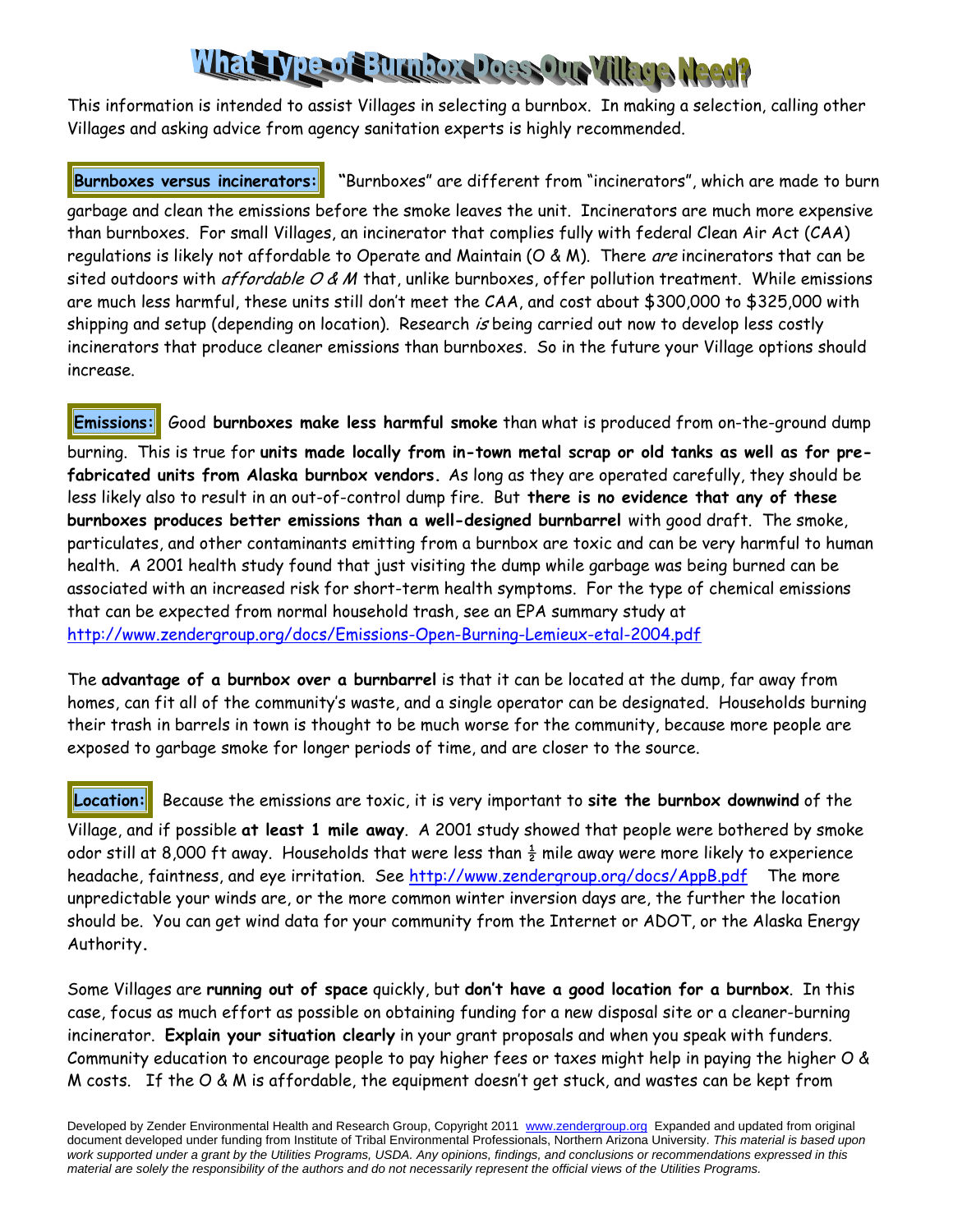# What Livre of Bundary Loss One Village Meet?

This information is intended to assist Villages in selecting a burnbox. In making a selection, calling other Villages and asking advice from agency sanitation experts is highly recommended.

**Burnboxes versus incinerators: "**Burnboxes" are different from "incinerators", which are made to burn

garbage and clean the emissions before the smoke leaves the unit. Incinerators are much more expensive than burnboxes. For small Villages, an incinerator that complies fully with federal Clean Air Act (CAA) regulations is likely not affordable to Operate and Maintain (O & M). There are incinerators that can be sited outdoors with *affordable O & M* that, unlike burnboxes, offer pollution treatment. While emissions are much less harmful, these units still don't meet the CAA, and cost about \$300,000 to \$325,000 with shipping and setup (depending on location). Research is being carried out now to develop less costly incinerators that produce cleaner emissions than burnboxes. So in the future your Village options should increase.

**Emissions:** Good burnboxes make less harmful smoke than what is produced from on-the-ground dump burning. This is true for **units made locally from in-town metal scrap or old tanks as well as for prefabricated units from Alaska burnbox vendors.** As long as they are operated carefully, they should be less likely also to result in an out-of-control dump fire. But **there is no evidence that any of these burnboxes produces better emissions than a well-designed burnbarrel** with good draft. The smoke, particulates, and other contaminants emitting from a burnbox are toxic and can be very harmful to human health. A 2001 health study found that just visiting the dump while garbage was being burned can be associated with an increased risk for short-term health symptoms. For the type of chemical emissions that can be expected from normal household trash, see an EPA summary study at http://www.zendergroup.org/docs/Emissions-Open-Burning-Lemieux-etal-2004.pdf

The **advantage of a burnbox over a burnbarrel** is that it can be located at the dump, far away from homes, can fit all of the community's waste, and a single operator can be designated. Households burning their trash in barrels in town is thought to be much worse for the community, because more people are exposed to garbage smoke for longer periods of time, and are closer to the source.

## **Location:** Because the emissions are toxic, it is very important to **site the burnbox downwind** of the

Village, and if possible **at least 1 mile away**. A 2001 study showed that people were bothered by smoke odor still at 8,000 ft away. Households that were less than  $\frac{1}{2}$  mile away were more likely to experience headache, faintness, and eye irritation. See http://www.zendergroup.org/docs/AppB.pdf The more unpredictable your winds are, or the more common winter inversion days are, the further the location should be. You can get wind data for your community from the Internet or ADOT, or the Alaska Energy Authority**.**

Some Villages are **running out of space** quickly, but **don't have a good location for a burnbox**. In this case, focus as much effort as possible on obtaining funding for a new disposal site or a cleaner-burning incinerator. **Explain your situation clearly** in your grant proposals and when you speak with funders. Community education to encourage people to pay higher fees or taxes might help in paying the higher O & M costs. If the O & M is affordable, the equipment doesn't get stuck, and wastes can be kept from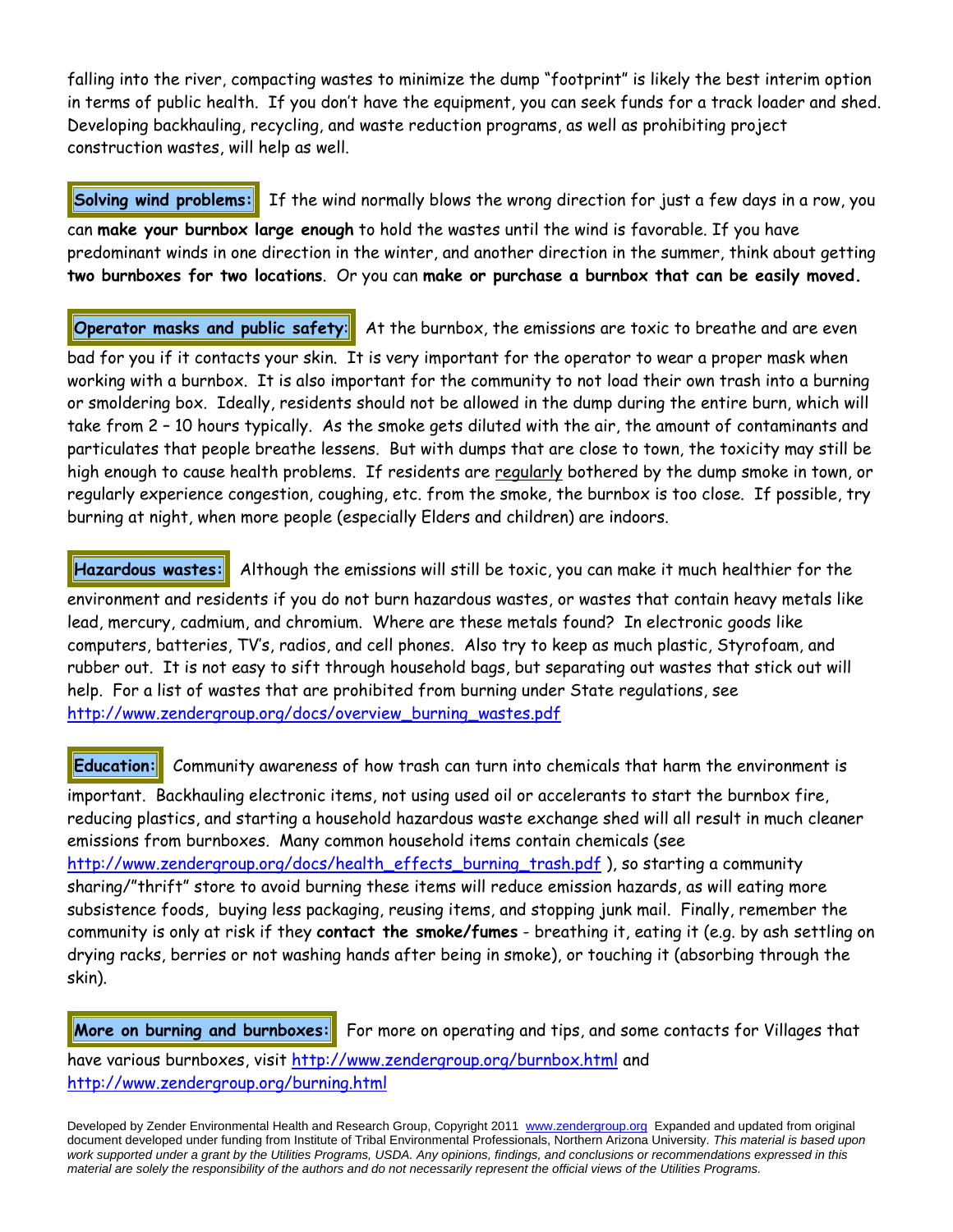falling into the river, compacting wastes to minimize the dump "footprint" is likely the best interim option in terms of public health. If you don't have the equipment, you can seek funds for a track loader and shed. Developing backhauling, recycling, and waste reduction programs, as well as prohibiting project construction wastes, will help as well.

**Solving wind problems:** If the wind normally blows the wrong direction for just a few days in a row, you can **make your burnbox large enough** to hold the wastes until the wind is favorable. If you have predominant winds in one direction in the winter, and another direction in the summer, think about getting **two burnboxes for two locations**. Or you can **make or purchase a burnbox that can be easily moved.** 

**Operator masks and public safety:** At the burnbox, the emissions are toxic to breathe and are even

bad for you if it contacts your skin. It is very important for the operator to wear a proper mask when working with a burnbox. It is also important for the community to not load their own trash into a burning or smoldering box. Ideally, residents should not be allowed in the dump during the entire burn, which will take from 2 – 10 hours typically. As the smoke gets diluted with the air, the amount of contaminants and particulates that people breathe lessens. But with dumps that are close to town, the toxicity may still be high enough to cause health problems. If residents are regularly bothered by the dump smoke in town, or regularly experience congestion, coughing, etc. from the smoke, the burnbox is too close. If possible, try burning at night, when more people (especially Elders and children) are indoors.

**Hazardous wastes:** Although the emissions will still be toxic, you can make it much healthier for the environment and residents if you do not burn hazardous wastes, or wastes that contain heavy metals like lead, mercury, cadmium, and chromium. Where are these metals found? In electronic goods like computers, batteries, TV's, radios, and cell phones. Also try to keep as much plastic, Styrofoam, and rubber out. It is not easy to sift through household bags, but separating out wastes that stick out will help. For a list of wastes that are prohibited from burning under State regulations, see

http://www.zendergroup.org/docs/overview\_burning\_wastes.pdf

**Education:** Community awareness of how trash can turn into chemicals that harm the environment is important. Backhauling electronic items, not using used oil or accelerants to start the burnbox fire, reducing plastics, and starting a household hazardous waste exchange shed will all result in much cleaner emissions from burnboxes. Many common household items contain chemicals (see http://www.zendergroup.org/docs/health\_effects\_burning\_trash.pdf ), so starting a community sharing/"thrift" store to avoid burning these items will reduce emission hazards, as will eating more subsistence foods, buying less packaging, reusing items, and stopping junk mail. Finally, remember the community is only at risk if they **contact the smoke/fumes** - breathing it, eating it (e.g. by ash settling on drying racks, berries or not washing hands after being in smoke), or touching it (absorbing through the skin).

**More on burning and burnboxes:** For more on operating and tips, and some contacts for Villages that have various burnboxes, visit http://www.zendergroup.org/burnbox.html and http://www.zendergroup.org/burning.html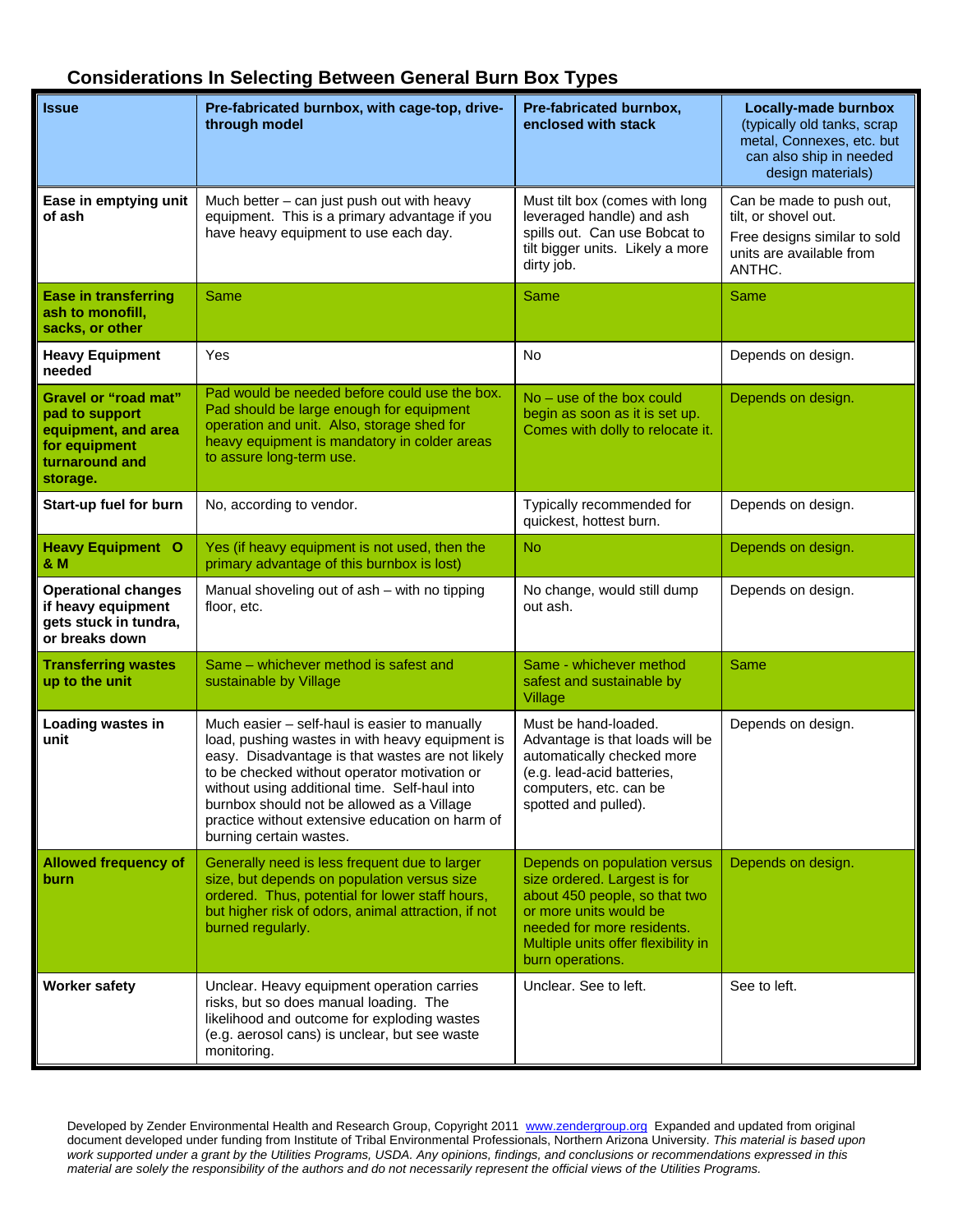### **Considerations In Selecting Between General Burn Box Types**

| <b>Issue</b>                                                                                                        | Pre-fabricated burnbox, with cage-top, drive-<br>through model                                                                                                                                                                                                                                                                                                                    | Pre-fabricated burnbox,<br>enclosed with stack                                                                                                                                                                   | <b>Locally-made burnbox</b><br>(typically old tanks, scrap<br>metal, Connexes, etc. but<br>can also ship in needed<br>design materials) |
|---------------------------------------------------------------------------------------------------------------------|-----------------------------------------------------------------------------------------------------------------------------------------------------------------------------------------------------------------------------------------------------------------------------------------------------------------------------------------------------------------------------------|------------------------------------------------------------------------------------------------------------------------------------------------------------------------------------------------------------------|-----------------------------------------------------------------------------------------------------------------------------------------|
| Ease in emptying unit<br>of ash                                                                                     | Much better - can just push out with heavy<br>equipment. This is a primary advantage if you<br>have heavy equipment to use each day.                                                                                                                                                                                                                                              | Must tilt box (comes with long<br>leveraged handle) and ash<br>spills out. Can use Bobcat to<br>tilt bigger units. Likely a more<br>dirty job.                                                                   | Can be made to push out,<br>tilt, or shovel out.<br>Free designs similar to sold<br>units are available from<br>ANTHC.                  |
| <b>Ease in transferring</b><br>ash to monofill,<br>sacks, or other                                                  | Same                                                                                                                                                                                                                                                                                                                                                                              | Same                                                                                                                                                                                                             | Same                                                                                                                                    |
| <b>Heavy Equipment</b><br>needed                                                                                    | Yes                                                                                                                                                                                                                                                                                                                                                                               | No                                                                                                                                                                                                               | Depends on design.                                                                                                                      |
| <b>Gravel or "road mat"</b><br>pad to support<br>equipment, and area<br>for equipment<br>turnaround and<br>storage. | Pad would be needed before could use the box.<br>Pad should be large enough for equipment<br>operation and unit. Also, storage shed for<br>heavy equipment is mandatory in colder areas<br>to assure long-term use.                                                                                                                                                               | $No - use of the box could$<br>begin as soon as it is set up.<br>Comes with dolly to relocate it.                                                                                                                | Depends on design.                                                                                                                      |
| Start-up fuel for burn                                                                                              | No, according to vendor.                                                                                                                                                                                                                                                                                                                                                          | Typically recommended for<br>quickest, hottest burn.                                                                                                                                                             | Depends on design.                                                                                                                      |
| <b>Heavy Equipment O</b><br>& M                                                                                     | Yes (if heavy equipment is not used, then the<br>primary advantage of this burnbox is lost)                                                                                                                                                                                                                                                                                       | No                                                                                                                                                                                                               | Depends on design.                                                                                                                      |
| <b>Operational changes</b><br>if heavy equipment<br>gets stuck in tundra,<br>or breaks down                         | Manual shoveling out of ash - with no tipping<br>floor, etc.                                                                                                                                                                                                                                                                                                                      | No change, would still dump<br>out ash.                                                                                                                                                                          | Depends on design.                                                                                                                      |
| <b>Transferring wastes</b><br>up to the unit                                                                        | Same - whichever method is safest and<br>sustainable by Village                                                                                                                                                                                                                                                                                                                   | Same - whichever method<br>safest and sustainable by<br>Village                                                                                                                                                  | Same                                                                                                                                    |
| Loading wastes in<br>unit                                                                                           | Much easier - self-haul is easier to manually<br>load, pushing wastes in with heavy equipment is<br>easy. Disadvantage is that wastes are not likely<br>to be checked without operator motivation or<br>without using additional time. Self-haul into<br>burnbox should not be allowed as a Village<br>practice without extensive education on harm of<br>burning certain wastes. | Must be hand-loaded.<br>Advantage is that loads will be<br>automatically checked more<br>(e.g. lead-acid batteries,<br>computers, etc. can be<br>spotted and pulled).                                            | Depends on design.                                                                                                                      |
| <b>Allowed frequency of</b><br><b>burn</b>                                                                          | Generally need is less frequent due to larger<br>size, but depends on population versus size<br>ordered. Thus, potential for lower staff hours,<br>but higher risk of odors, animal attraction, if not<br>burned regularly.                                                                                                                                                       | Depends on population versus<br>size ordered. Largest is for<br>about 450 people, so that two<br>or more units would be<br>needed for more residents.<br>Multiple units offer flexibility in<br>burn operations. | Depends on design.                                                                                                                      |
| <b>Worker safety</b>                                                                                                | Unclear. Heavy equipment operation carries<br>risks, but so does manual loading. The<br>likelihood and outcome for exploding wastes<br>(e.g. aerosol cans) is unclear, but see waste<br>monitoring.                                                                                                                                                                               | Unclear. See to left.                                                                                                                                                                                            | See to left.                                                                                                                            |